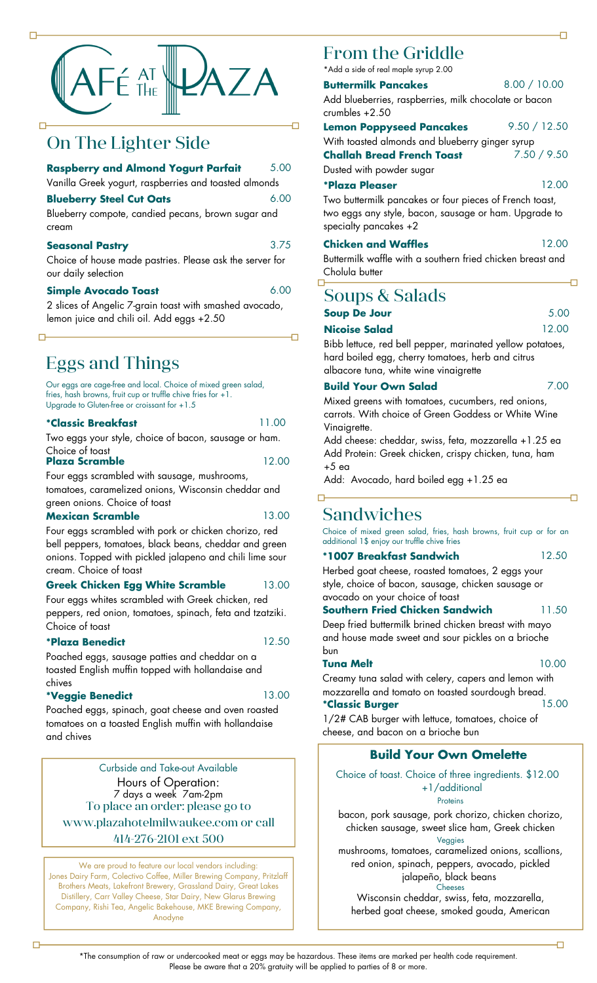

## On The Lighter Side

#### **Raspberry and Almond Yogurt Parfait** 5.00

Vanilla Greek yogurt, raspberries and toasted almonds

#### **Blueberry Steel Cut Oats**

Blueberry compote, candied pecans, brown sugar and cream

#### **Seasonal Pastry**

Choice of house made pastries. Please ask the server for our daily selection

#### **Simple Avocado Toast**

2 slices of Angelic 7-grain toast with smashed avocado, lemon juice and chili oil. Add eggs +2.50

## Eggs and Things

Our eggs are cage-free and local. Choice of mixed green salad, fries, hash browns, fruit cup or truffle chive fries for +1. Upgrade to Gluten-free or croissant for +1.5

#### **\*Classic Breakfast**

11.00

3.75

6.00

6.00

石

Two eggs your style, choice of bacon, sausage or ham. Choice of toast 12.00

## **Plaza Scramble**

Four eggs scrambled with sausage, mushrooms, tomatoes, caramelized onions, Wisconsin cheddar and green onions. Choice of toast

#### **Mexican Scramble**

13.00

Four eggs scrambled with pork or chicken chorizo, red bell peppers, tomatoes, black beans, cheddar and green onions. Topped with pickled jalapeno and chili lime sour cream. Choice of toast

#### **Greek Chicken Egg White Scramble** 13.00

Four eggs whites scrambled with Greek chicken, red peppers, red onion, tomatoes, spinach, feta and tzatziki. Choice of toast

#### **\*Plaza Benedict**

12.50

Poached eggs, sausage patties and cheddar on a toasted English muffin topped with hollandaise and chives

### **\*Veggie Benedict**

 $\Box$ 

13.00

Poached eggs, spinach, goat cheese and oven roasted tomatoes on a toasted English muffin with hollandaise and chives

To place an order: please go to www.plazahotelmilwaukee.com or call 414-276-2101 ext 500 Curbside and Take-out Available Hours of Operation: 7 days a week 7am-2pm

We are proud to feature our local vendors including: Jones Dairy Farm, Colectivo Coffee, Miller Brewing Company, Pritzlaff Brothers Meats, Lakefront Brewery, Grassland Dairy, Great Lakes Distillery, Carr Valley Cheese, Star Dairy, New Glarus Brewing Company, Rishi Tea, Angelic Bakehouse, MKE Brewing Company, Anodyne

## From the Griddle

\*Add a side of real maple syrup 2.00

| <b>Buttermilk Pancakes</b>                            | 8.00 / 10.00 |
|-------------------------------------------------------|--------------|
| Add blueberries, raspberries, milk chocolate or bacon |              |
| crumbles +2.50                                        |              |

**Lemon Poppyseed Pancakes** With toasted almonds and blueberry ginger syrup 9.50 / 12.50 **Challah Bread French Toast** 7.50 / 9.50

Dusted with powder sugar

## **\*Plaza Pleaser**

Two buttermilk pancakes or four pieces of French toast, two eggs any style, bacon, sausage or ham. Upgrade to specialty pancakes +2

#### **Chicken and Waffles**

Buttermilk waffle with a southern fried chicken breast and Cholula butter

# Soups & Salads

| <b>Soup De Jour</b>  | 5.00  |
|----------------------|-------|
| <b>Nicoise Salad</b> | 12.00 |

Bibb lettuce, red bell pepper, marinated yellow potatoes, hard boiled egg, cherry tomatoes, herb and citrus albacore tuna, white wine vinaigrette

## **Build Your Own Salad**

Mixed greens with tomatoes, cucumbers, red onions, carrots. With choice of Green Goddess or White Wine Vinaiarette.

Add cheese: cheddar, swiss, feta, mozzarella +1.25 ea Add Protein: Greek chicken, crispy chicken, tuna, ham +5 ea

Add: Avocado, hard boiled egg +1.25 ea

## Sandwiches

Choice of mixed green salad, fries, hash browns, fruit cup or for an additional 1\$ enjoy our truffle chive fries

#### **\*1007 Breakfast Sandwich**

Herbed goat cheese, roasted tomatoes, 2 eggs your style, choice of bacon, sausage, chicken sausage or 12.50

### avocado on your choice of toast **Southern Fried Chicken Sandwich**

Deep fried buttermilk brined chicken breast with mayo and house made sweet and sour pickles on a brioche bun

#### **Tuna Melt**

10.00

11.50

Creamy tuna salad with celery, capers and lemon with mozzarella and tomato on toasted sourdough bread. 15.00

## **\*Classic Burger**

1/2# CAB burger with lettuce, tomatoes, choice of cheese, and bacon on a brioche bun

## **Build Your Own Omelette**

Choice of toast. Choice of three ingredients. \$12.00 +1/additional **Proteins** 

bacon, pork sausage, pork chorizo, chicken chorizo, chicken sausage, sweet slice ham, Greek chicken Veggies

mushrooms, tomatoes, caramelized onions, scallions, red onion, spinach, peppers, avocado, pickled jalapeño, black beans Cheeses

Wisconsin cheddar, swiss, feta, mozzarella, herbed goat cheese, smoked gouda, American

12.00

12.00

7.00

Ð